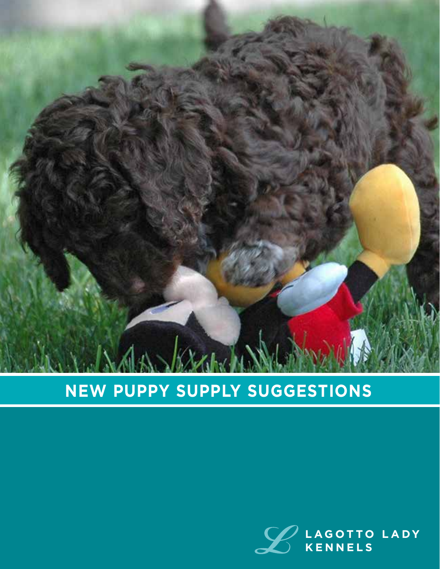

# **NEW PUPPY SUPPLY SUGGESTIONS**

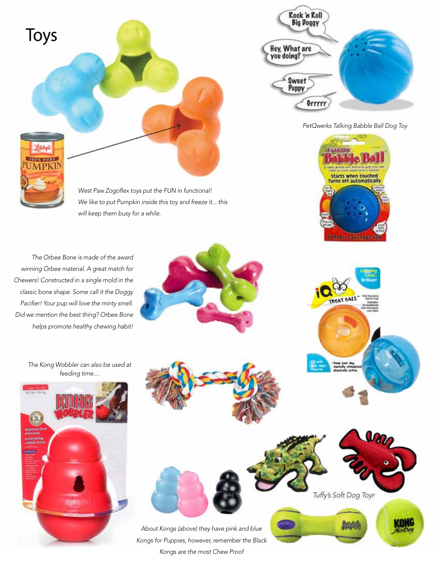

*The Orbee Bone is made of the award winning Orbee material. A great match for Chewers! Constructed in a single mold in the classic bone shape. Some call it the Doggy Pacifier! Your pup will love the minty smell. Did we mention the best thing? Orbee Bone helps promote healthy chewing habit!*











Tuffy's Soft Dog Toys

抗震

**KONG** 

**TREAT BA**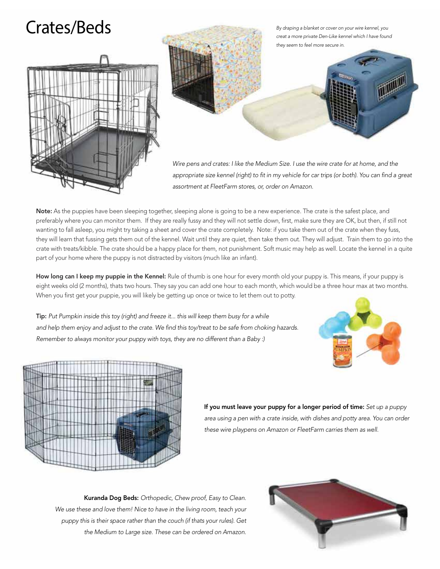# Crates/Beds





*Wire pens and crates: I like the Medium Size. I use the wire crate for at home, and the appropriate size kennel (right) to fit in my vehicle for car trips (or both). You can find a great assortment at FleetFarm stores, or, order on Amazon.*

Note: As the puppies have been sleeping together, sleeping alone is going to be a new experience. The crate is the safest place, and preferably where you can monitor them. If they are really fussy and they will not settle down, first, make sure they are OK, but then, if still not wanting to fall asleep, you might try taking a sheet and cover the crate completely. Note: if you take them out of the crate when they fuss, they will learn that fussing gets them out of the kennel. Wait until they are quiet, then take them out. They will adjust. Train them to go into the crate with treats/kibble. The crate should be a happy place for them, not punishment. Soft music may help as well. Locate the kennel in a quite part of your home where the puppy is not distracted by visitors (much like an infant).

How long can I keep my puppie in the Kennel: Rule of thumb is one hour for every month old your puppy is. This means, if your puppy is eight weeks old (2 months), thats two hours. They say you can add one hour to each month, which would be a three hour max at two months. When you first get your puppie, you will likely be getting up once or twice to let them out to potty.

Tip: *Put Pumpkin inside this toy (right) and freeze it... this will keep them busy for a while and help them enjoy and adjust to the crate. We find this toy/treat to be safe from choking hazards. Remember to always monitor your puppy with toys, they are no different than a Baby :)*





If you must leave your puppy for a longer period of time: *Set up a puppy area using a pen with a crate inside, with dishes and potty area. You can order these wire playpens on Amazon or FleetFarm carries them as well.*

Kuranda Dog Beds: *Orthopedic, Chew proof, Easy to Clean. We use these and love them! Nice to have in the living room, teach your puppy this is their space rather than the couch (if thats your rules). Get the Medium to Large size. These can be ordered on Amazon.* 

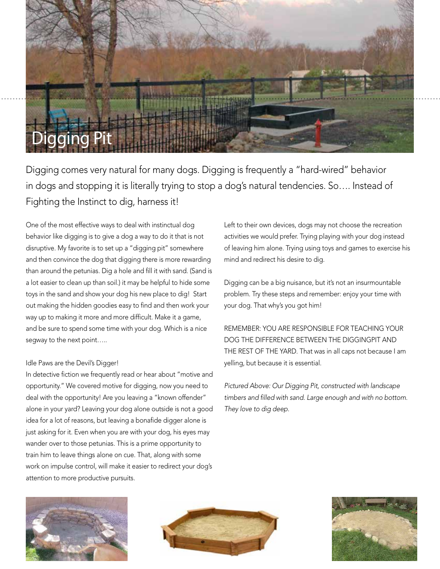

Digging comes very natural for many dogs. Digging is frequently a "hard-wired" behavior in dogs and stopping it is literally trying to stop a dog's natural tendencies. So…. Instead of Fighting the Instinct to dig, harness it!

One of the most effective ways to deal with instinctual dog behavior like digging is to give a dog a way to do it that is not disruptive. My favorite is to set up a "digging pit" somewhere and then convince the dog that digging there is more rewarding than around the petunias. Dig a hole and fill it with sand. (Sand is a lot easier to clean up than soil.) it may be helpful to hide some toys in the sand and show your dog his new place to dig! Start out making the hidden goodies easy to find and then work your way up to making it more and more difficult. Make it a game, and be sure to spend some time with your dog. Which is a nice segway to the next point…..

### Idle Paws are the Devil's Digger!

In detective fiction we frequently read or hear about "motive and opportunity." We covered motive for digging, now you need to deal with the opportunity! Are you leaving a "known offender" alone in your yard? Leaving your dog alone outside is not a good idea for a lot of reasons, but leaving a bonafide digger alone is just asking for it. Even when you are with your dog, his eyes may wander over to those petunias. This is a prime opportunity to train him to leave things alone on cue. That, along with some work on impulse control, will make it easier to redirect your dog's attention to more productive pursuits.

Left to their own devices, dogs may not choose the recreation activities we would prefer. Trying playing with your dog instead of leaving him alone. Trying using toys and games to exercise his mind and redirect his desire to dig.

Digging can be a big nuisance, but it's not an insurmountable problem. Try these steps and remember: enjoy your time with your dog. That why's you got him!

REMEMBER: YOU ARE RESPONSIBLE FOR TEACHING YOUR DOG THE DIFFERENCE BETWEEN THE DIGGINGPIT AND THE REST OF THE YARD. That was in all caps not because I am yelling, but because it is essential.

*Pictured Above: Our Digging Pit, constructed with landscape timbers and filled with sand. Large enough and with no bottom. They love to dig deep.*





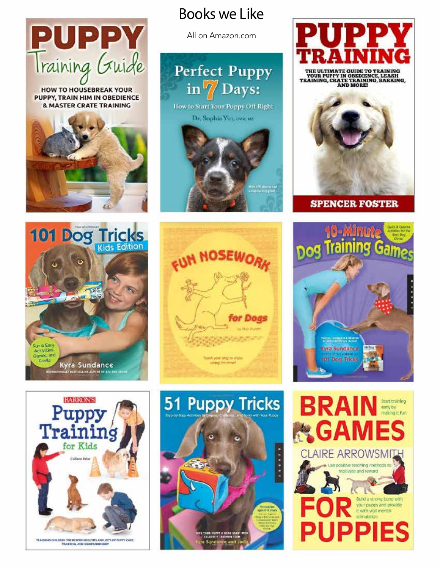

**HOW TO HOUSEBREAK YOUR** PUPPY, TRAIN HIM IN OBEDIENCE **& MASTER CRATE TRAINING** 



## Books we Like

All on Amazon.com